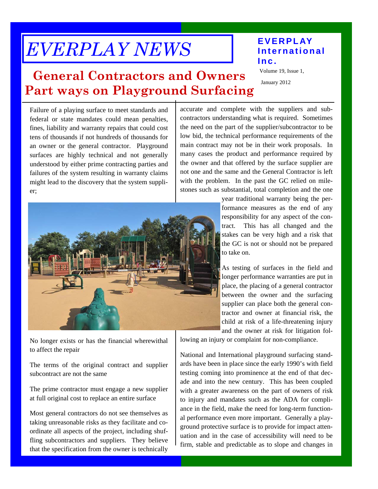# *EVERPLAY NEWS*

### **EVERPLAY International Inc.**

#### Volume 19, Issue 1,

January 2012

## **General Contractors and Owners Part ways on Playground Surfacing**

Failure of a playing surface to meet standards and federal or state mandates could mean penalties, fines, liability and warranty repairs that could cost tens of thousands if not hundreds of thousands for an owner or the general contractor. Playground surfaces are highly technical and not generally understood by either prime contracting parties and failures of the system resulting in warranty claims might lead to the discovery that the system supplier;

accurate and complete with the suppliers and subcontractors understanding what is required. Sometimes the need on the part of the supplier/subcontractor to be low bid, the technical performance requirements of the main contract may not be in their work proposals. In many cases the product and performance required by the owner and that offered by the surface supplier are not one and the same and the General Contractor is left with the problem. In the past the GC relied on milestones such as substantial, total completion and the one



responsibility for any aspect of the contract. This has all changed and the stakes can be very high and a risk that the GC is not or should not be prepared to take on.

year traditional warranty being the performance measures as the end of any

As testing of surfaces in the field and longer performance warranties are put in place, the placing of a general contractor between the owner and the surfacing supplier can place both the general contractor and owner at financial risk, the child at risk of a life-threatening injury and the owner at risk for litigation fol-

No longer exists or has the financial wherewithal to affect the repair

The terms of the original contract and supplier subcontract are not the same

The prime contractor must engage a new supplier at full original cost to replace an entire surface

Most general contractors do not see themselves as taking unreasonable risks as they facilitate and coordinate all aspects of the project, including shuffling subcontractors and suppliers. They believe that the specification from the owner is technically lowing an injury or complaint for non-compliance.

National and International playground surfacing standards have been in place since the early 1990's with field testing coming into prominence at the end of that decade and into the new century. This has been coupled with a greater awareness on the part of owners of risk to injury and mandates such as the ADA for compliance in the field, make the need for long-term functional performance even more important. Generally a playground protective surface is to provide for impact attenuation and in the case of accessibility will need to be firm, stable and predictable as to slope and changes in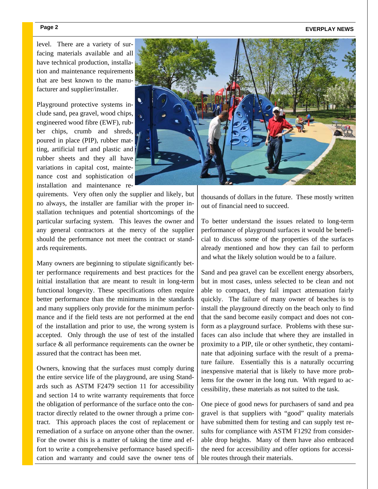#### Page 2 **EVERPLAY NEWS**

level. There are a variety of surfacing materials available and all have technical production, installation and maintenance requirements that are best known to the manufacturer and supplier/installer.

Playground protective systems include sand, pea gravel, wood chips, engineered wood fibre (EWF), rubber chips, crumb and shreds, poured in place (PIP), rubber matting, artificial turf and plastic and rubber sheets and they all have variations in capital cost, maintenance cost and sophistication of installation and maintenance re-

quirements. Very often only the supplier and likely, but no always, the installer are familiar with the proper installation techniques and potential shortcomings of the particular surfacing system. This leaves the owner and any general contractors at the mercy of the supplier should the performance not meet the contract or standards requirements.

Many owners are beginning to stipulate significantly better performance requirements and best practices for the initial installation that are meant to result in long-term functional longevity. These specifications often require better performance than the minimums in the standards and many suppliers only provide for the minimum performance and if the field tests are not performed at the end of the installation and prior to use, the wrong system is accepted. Only through the use of test of the installed surface & all performance requirements can the owner be assured that the contract has been met.

Owners, knowing that the surfaces must comply during the entire service life of the playground, are using Standards such as ASTM F2479 section 11 for accessibility and section 14 to write warranty requirements that force the obligation of performance of the surface onto the contractor directly related to the owner through a prime contract. This approach places the cost of replacement or remediation of a surface on anyone other than the owner. For the owner this is a matter of taking the time and effort to write a comprehensive performance based specification and warranty and could save the owner tens of



thousands of dollars in the future. These mostly written out of financial need to succeed.

To better understand the issues related to long-term performance of playground surfaces it would be beneficial to discuss some of the properties of the surfaces already mentioned and how they can fail to perform and what the likely solution would be to a failure.

Sand and pea gravel can be excellent energy absorbers, but in most cases, unless selected to be clean and not able to compact, they fail impact attenuation fairly quickly. The failure of many owner of beaches is to install the playground directly on the beach only to find that the sand become easily compact and does not conform as a playground surface. Problems with these surfaces can also include that where they are installed in proximity to a PIP, tile or other synthetic, they contaminate that adjoining surface with the result of a premature failure. Essentially this is a naturally occurring inexpensive material that is likely to have more problems for the owner in the long run. With regard to accessibility, these materials as not suited to the task.

One piece of good news for purchasers of sand and pea gravel is that suppliers with "good" quality materials have submitted them for testing and can supply test results for compliance with ASTM F1292 from considerable drop heights. Many of them have also embraced the need for accessibility and offer options for accessible routes through their materials.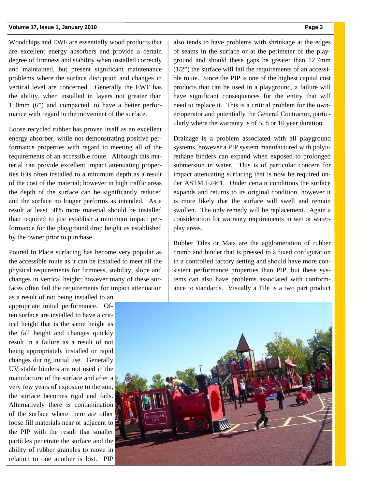#### **Volume 17, Issue 1, January 2010 Page 3**

Woodchips and EWF are essentially wood products that are excellent energy absorbers and provide a certain degree of firmness and stability when installed correctly and maintained, but present significant maintenance problems where the surface disruption and changes in vertical level are concerned. Generally the EWF has the ability, when installed in layers not greater than 150mm (6") and compacted, to have a better performance with regard to the movement of the surface.

Loose recycled rubber has proven itself as an excellent energy absorber, while not demonstrating positive performance properties with regard to meeting all of the requirements of an accessible route. Although this material can provide excellent impact attenuating properties it is often installed to a minimum depth as a result of the cost of the material; however in high traffic areas the depth of the surface can be significantly reduced and the surface no longer performs as intended. As a result at least 50% more material should be installed than required to just establish a minimum impact performance for the playground drop height as established by the owner prior to purchase.

Poured In Place surfacing has become very popular as the accessible route as it can be installed to meet all the physical requirements for firmness, stability, slope and changes in vertical height; however many of these surfaces often fail the requirements for impact attenuation

as a result of not being installed to an appropriate initial performance. Often surface are installed to have a critical height that is the same height as the fall height and changes quickly result in a failure as a result of not being appropriately installed or rapid changes during initial use. Generally UV stable binders are not used in the manufacture of the surface and after a very few years of exposure to the sun, the surface becomes rigid and fails. Alternatively there is contamination of the surface where there are other loose fill materials near or adjacent to the PIP with the result that smaller particles penetrate the surface and the ability of rubber granules to move in relation to one another is lost. PIP

also tends to have problems with shrinkage at the edges of seams in the surface or at the perimeter of the playground and should these gaps be greater than 12.7mm (1/2") the surface will fail the requirements of an accessible route. Since the PIP is one of the highest capital cost products that can be used in a playground, a failure will have significant consequences for the entity that will need to replace it. This is a critical problem for the owner/operator and potentially the General Contractor, particularly where the warranty is of 5, 8 or 10 year duration.

Drainage is a problem associated with all playground systems, however a PIP system manufactured with polyurethane binders can expand when exposed to prolonged submersion in water. This is of particular concern for impact attenuating surfacing that is now be required under ASTM F2461. Under certain conditions the surface expands and returns to its original condition, however it is more likely that the surface will swell and remain swollen. The only remedy will be replacement. Again a consideration for warranty requirements in wet or waterplay areas.

Rubber Tiles or Mats are the agglomeration of rubber crumb and binder that is pressed to a fixed configuration in a controlled factory setting and should have more consistent performance properties than PIP, but these systems can also have problems associated with conformance to standards. Visually a Tile is a two part product

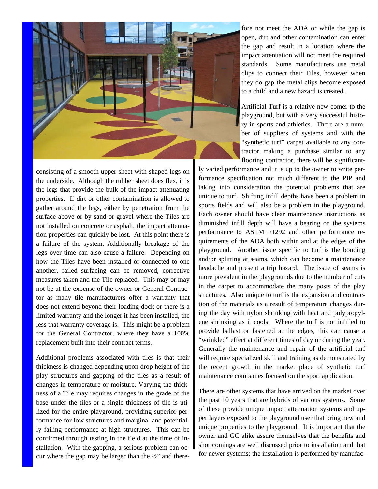

consisting of a smooth upper sheet with shaped legs on the underside. Although the rubber sheet does flex, it is the legs that provide the bulk of the impact attenuating properties. If dirt or other contamination is allowed to gather around the legs, either by penetration from the surface above or by sand or gravel where the Tiles are not installed on concrete or asphalt, the impact attenuation properties can quickly be lost. At this point there is a failure of the system. Additionally breakage of the legs over time can also cause a failure. Depending on how the Tiles have been installed or connected to one another, failed surfacing can be removed, corrective measures taken and the Tile replaced. This may or may not be at the expense of the owner or General Contractor as many tile manufacturers offer a warranty that does not extend beyond their loading dock or there is a limited warranty and the longer it has been installed, the less that warranty coverage is. This might be a problem for the General Contractor, where they have a 100% replacement built into their contract terms.

Additional problems associated with tiles is that their thickness is changed depending upon drop height of the play structures and gapping of the tiles as a result of changes in temperature or moisture. Varying the thickness of a Tile may requires changes in the grade of the base under the tiles or a single thickness of tile is utilized for the entire playground, providing superior performance for low structures and marginal and potentially failing performance at high structures. This can be confirmed through testing in the field at the time of installation. With the gapping, a serious problem can occur where the gap may be larger than the  $\frac{1}{2}$  and therefore not meet the ADA or while the gap is open, dirt and other contamination can enter the gap and result in a location where the impact attenuation will not meet the required standards. Some manufacturers use metal clips to connect their Tiles, however when they do gap the metal clips become exposed to a child and a new hazard is created.

Artificial Turf is a relative new comer to the playground, but with a very successful history in sports and athletics. There are a number of suppliers of systems and with the "synthetic turf" carpet available to any contractor making a purchase similar to any flooring contractor, there will be significant-

ly varied performance and it is up to the owner to write performance specification not much different to the PIP and taking into consideration the potential problems that are unique to turf. Shifting infill depths have been a problem in sports fields and will also be a problem in the playground. Each owner should have clear maintenance instructions as diminished infill depth will have a bearing on the systems performance to ASTM F1292 and other performance requirements of the ADA both within and at the edges of the playground. Another issue specific to turf is the bonding and/or splitting at seams, which can become a maintenance headache and present a trip hazard. The issue of seams is more prevalent in the playgrounds due to the number of cuts in the carpet to accommodate the many posts of the play structures. Also unique to turf is the expansion and contraction of the materials as a result of temperature changes during the day with nylon shrinking with heat and polypropylene shrinking as it cools. Where the turf is not infilled to provide ballast or fastened at the edges, this can cause a "wrinkled" effect at different times of day or during the year. Generally the maintenance and repair of the artificial turf will require specialized skill and training as demonstrated by the recent growth in the market place of synthetic turf maintenance companies focused on the sport application.

There are other systems that have arrived on the market over the past 10 years that are hybrids of various systems. Some of these provide unique impact attenuation systems and upper layers exposed to the playground user that bring new and unique properties to the playground. It is important that the owner and GC alike assure themselves that the benefits and shortcomings are well discussed prior to installation and that for newer systems; the installation is performed by manufac